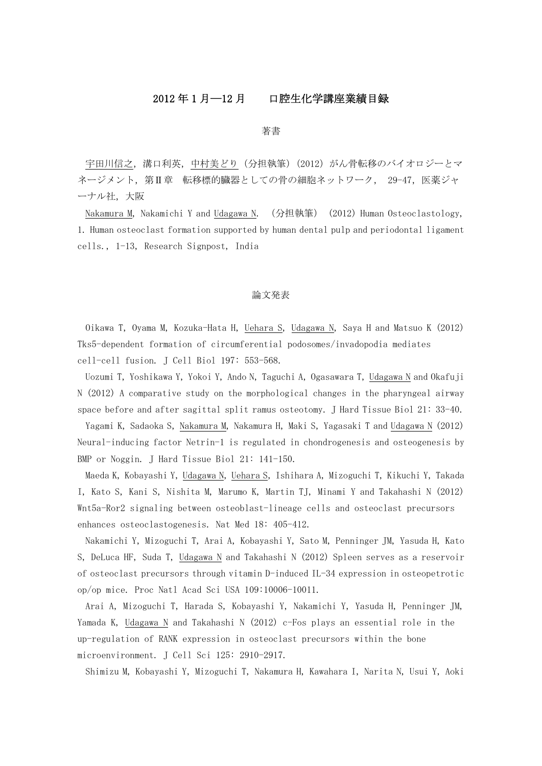# 2012 年 1 月―12 月 口腔生化学講座業績目録

#### 著書

宇田川信之,溝口利英,中村美どり(分担執筆)(2012)がん骨転移のバイオロジーとマ ネージメント, 第Ⅱ章 転移標的臓器としての骨の細胞ネットワーク, 29-47, 医薬ジャ ーナル社,大阪

Nakamura M, Nakamichi Y and Udagawa N. (分担執筆) (2012) Human Osteoclastology, 1. Human osteoclast formation supported by human dental pulp and periodontal ligament cells., 1-13, Research Signpost, India

## 論文発表

Oikawa T, Oyama M, Kozuka-Hata H, Uehara S, Udagawa N, Saya H and Matsuo K (2012) Tks5-dependent formation of circumferential podosomes/invadopodia mediates cell-cell fusion. J Cell Biol 197: 553-568.

Uozumi T, Yoshikawa Y, Yokoi Y, Ando N, Taguchi A, Ogasawara T, Udagawa N and Okafuji N (2012) A comparative study on the morphological changes in the pharyngeal airway space before and after sagittal split ramus osteotomy. J Hard Tissue Biol 21: 33-40.

Yagami K, Sadaoka S, Nakamura M, Nakamura H, Maki S, Yagasaki T and Udagawa N (2012) Neural-inducing factor Netrin-1 is regulated in chondrogenesis and osteogenesis by BMP or Noggin. J Hard Tissue Biol 21: 141-150.

Maeda K, Kobayashi Y, Udagawa N, Uehara S, Ishihara A, Mizoguchi T, Kikuchi Y, Takada I, Kato S, Kani S, Nishita M, Marumo K, Martin TJ, Minami Y and Takahashi N (2012) Wnt5a-Ror2 signaling between osteoblast-lineage cells and osteoclast precursors enhances osteoclastogenesis. Nat Med 18: 405-412.

Nakamichi Y, Mizoguchi T, Arai A, Kobayashi Y, Sato M, Penninger JM, Yasuda H, Kato S, DeLuca HF, Suda T, Udagawa N and Takahashi N (2012) Spleen serves as a reservoir of osteoclast precursors through vitamin D-induced IL-34 expression in osteopetrotic op/op mice. Proc Natl Acad Sci USA 109:10006-10011.

Arai A, Mizoguchi T, Harada S, Kobayashi Y, Nakamichi Y, Yasuda H, Penninger JM, Yamada K, Udagawa N and Takahashi N (2012) c-Fos plays an essential role in the up-regulation of RANK expression in osteoclast precursors within the bone microenvironment. J Cell Sci 125: 2910-2917.

Shimizu M, Kobayashi Y, Mizoguchi T, Nakamura H, Kawahara I, Narita N, Usui Y, Aoki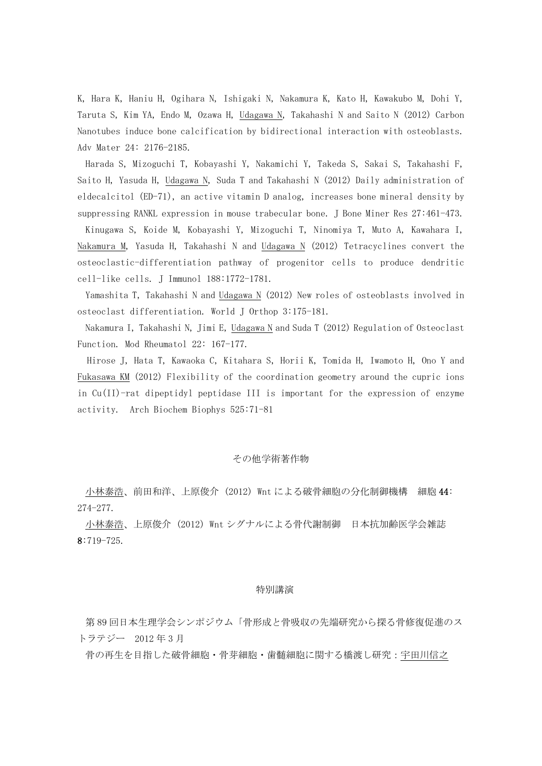K, Hara K, Haniu H, Ogihara N, Ishigaki N, Nakamura K, Kato H, Kawakubo M, Dohi Y, Taruta S, Kim YA, Endo M, Ozawa H, Udagawa N, Takahashi N and Saito N (2012) Carbon Nanotubes induce bone calcification by bidirectional interaction with osteoblasts. Adv Mater 24: 2176-2185.

Harada S, Mizoguchi T, Kobayashi Y, Nakamichi Y, Takeda S, Sakai S, Takahashi F, Saito H, Yasuda H, Udagawa N, Suda T and Takahashi N (2012) Daily administration of eldecalcitol (ED-71), an active vitamin D analog, increases bone mineral density by suppressing RANKL expression in mouse trabecular bone. J Bone Miner Res 27:461-473.

Kinugawa S, Koide M, Kobayashi Y, Mizoguchi T, Ninomiya T, Muto A, Kawahara I, Nakamura M, Yasuda H, Takahashi N and Udagawa N (2012) Tetracyclines convert the osteoclastic-differentiation pathway of progenitor cells to produce dendritic cell-like cells. J Immunol 188:1772-1781.

Yamashita T, Takahashi N and Udagawa N (2012) New roles of osteoblasts involved in osteoclast differentiation. World J Orthop 3:175-181.

Nakamura I, Takahashi N, Jimi E, Udagawa N and Suda T  $(2012)$  Regulation of Osteoclast Function. Mod Rheumatol 22: 167-177.

Hirose J, Hata T, Kawaoka C, Kitahara S, Horii K, Tomida H, Iwamoto H, Ono Y and Fukasawa KM (2012) Flexibility of the coordination geometry around the cupric ions in Cu(II)-rat dipeptidyl peptidase III is important for the expression of enzyme activity. Arch Biochem Biophys 525:71-81

#### その他学術著作物

小林泰浩、前田和洋、上原俊介 (2012) Wnt による破骨細胞の分化制御機構 細胞 44: 274-277.

小林泰浩、上原俊介 (2012) Wnt シグナルによる骨代謝制御 日本抗加齢医学会雑誌 8:719-725.

#### 特別講演

第 89 回日本生理学会シンポジウム「骨形成と骨吸収の先端研究から探る骨修復促進のス トラテジー 2012 年 3 月

骨の再生を目指した破骨細胞・骨芽細胞・歯髄細胞に関する橋渡し研究:宇田川信之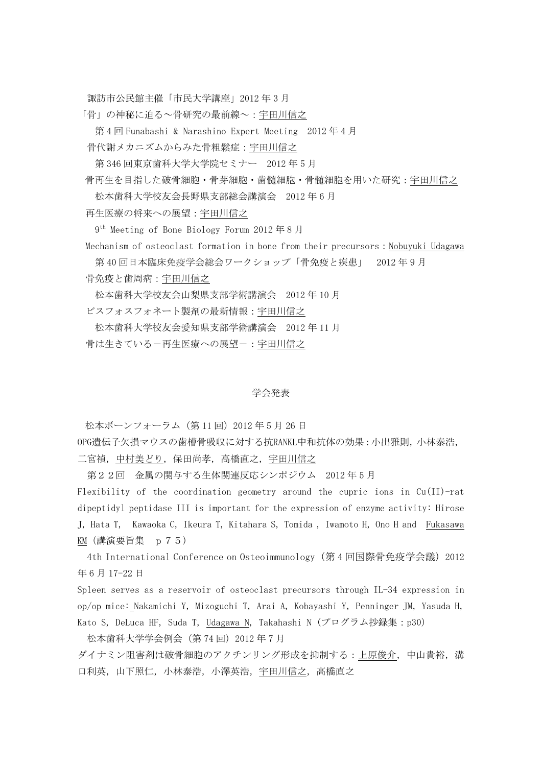諏訪市公民館主催「市民大学講座」2012 年 3 月

「骨」の神秘に迫る~骨研究の最前線~:宇田川信之

第 4 回 Funabashi & Narashino Expert Meeting 2012 年 4 月

骨代謝メカニズムからみた骨粗鬆症:宇田川信之

第 346 回東京歯科大学大学院セミナー 2012 年 5 月

骨再生を目指した破骨細胞・骨芽細胞・歯髄細胞・骨髄細胞を用いた研究:宇田川信之

松本歯科大学校友会長野県支部総会講演会 2012 年 6 月

再生医療の将来への展望:宇田川信之

9th Meeting of Bone Biology Forum 2012 年 8 月

Mechanism of osteoclast formation in bone from their precursors:Nobuyuki Udagawa

第 40 回日本臨床免疫学会総会ワークショップ「骨免疫と疾患」 2012 年 9 月

骨免疫と歯周病:宇田川信之

松本歯科大学校友会山梨県支部学術講演会 2012 年 10 月 ビスフォスフォネート製剤の最新情報:宇田川信之

松本歯科大学校友会愛知県支部学術講演会 2012 年 11 月

骨は生きている一再生医療への展望ー:宇田川信之

## 学会発表

松本ボーンフォーラム (第11回) 2012年5月26日

OPG遺伝子欠損マウスの歯槽骨吸収に対する抗RANKL中和抗体の効果:小出雅則,小林泰浩, 二宮禎,中村美どり,保田尚孝,高橋直之,宇田川信之

第22回 金属の関与する生体関連反応シンポジウム 2012 年 5 月

Flexibility of the coordination geometry around the cupric ions in Cu(II)-rat dipeptidyl peptidase III is important for the expression of enzyme activity: Hirose J, Hata T, Kawaoka C, Ikeura T, Kitahara S, Tomida , Iwamoto H, Ono H and Fukasawa KM(講演要旨集 p75)

4th International Conference on Osteoimmunology(第 4 回国際骨免疫学会議)2012 年 6 月 17-22 日

Spleen serves as a reservoir of osteoclast precursors through IL-34 expression in op/op mice: Nakamichi Y, Mizoguchi T, Arai A, Kobayashi Y, Penninger JM, Yasuda H, Kato S, DeLuca HF, Suda T, Udagawa N, Takahashi N (プログラム抄録集:p30)

松本歯科大学学会例会(第74回)2012年7月

ダイナミン阻害剤は破骨細胞のアクチンリング形成を抑制する:上原俊介,中山貴裕,溝 口利英,山下照仁,小林泰浩,小澤英浩,宇田川信之,高橋直之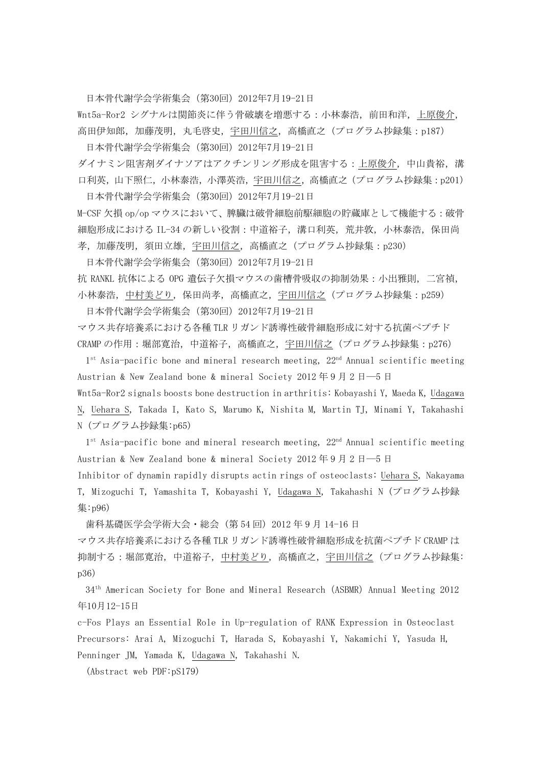日本骨代謝学会学術集会(第30回)2012年7月19-21日

Wnt5a-Ror2 シグナルは関節炎に伴う骨破壊を増悪する:小林泰浩,前田和洋,上原俊介, 高田伊知郎,加藤茂明,丸毛啓史,宇田川信之,高橋直之(プログラム抄録集:p187)

日本骨代謝学会学術集会(第30回)2012年7月19-21日 ダイナミン阻害剤ダイナソアはアクチンリング形成を阻害する:上原俊介,中山貴裕,溝 口利英,山下照仁,小林泰浩,小澤英浩,宇田川信之,高橋直之(プログラム抄録集:p201) 日本骨代謝学会学術集会(第30回)2012年7月19-21日

M-CSF 欠損 op/op マウスにおいて、脾臓は破骨細胞前駆細胞の貯蔵庫として機能する:破骨 細胞形成における IL-34 の新しい役割:中道裕子,溝口利英,荒井敦,小林泰浩,保田尚 孝,加藤茂明,須田立雄,宇田川信之,高橋直之(プログラム抄録集:p230)

日本骨代謝学会学術集会(第30回)2012年7月19-21日

抗 RANKL 抗体による OPG 遺伝子欠損マウスの歯槽骨吸収の抑制効果:小出雅則,二宮禎, 小林泰浩,中村美どり,保田尚孝,高橋直之,宇田川信之(プログラム抄録集:p259)

日本骨代謝学会学術集会(第30回)2012年7月19-21日

マウス共存培養系における各種 TLR リガンド誘導性破骨細胞形成に対する抗菌ペプチド CRAMP の作用:堀部寛治,中道裕子,高橋直之,宇田川信之(プログラム抄録集:p276)

 $1<sup>st</sup> Asia-pacific bone and mineral research meeting,  $22<sup>nd</sup> Annual scientific meeting$$ Austrian & New Zealand bone & mineral Society 2012 年 9 月 2 日―5 日

Wnt5a-Ror2 signals boosts bone destruction in arthritis: Kobayashi Y, Maeda K, Udagawa N, Uehara S, Takada I, Kato S, Marumo K, Nishita M, Martin TJ, Minami Y, Takahashi N (プログラム抄録集:p65)

 $1<sup>st</sup> Asia-pacific bone and mineral research meeting,  $22<sup>nd</sup> Annual scientific meeting$$ Austrian & New Zealand bone & mineral Society 2012 年 9 月 2 日―5 日

Inhibitor of dynamin rapidly disrupts actin rings of osteoclasts: Uehara S, Nakayama T, Mizoguchi T, Yamashita T, Kobayashi Y, Udagawa N, Takahashi N (プログラム抄録 集:p96)

歯科基礎医学会学術大会・総会 (第 54 回) 2012 年 9 月 14-16 日

マウス共存培養系における各種 TLR リガンド誘導性破骨細胞形成を抗菌ペプチド CRAMP は 抑制する:堀部寛治,中道裕子,中村美どり,高橋直之,宇田川信之(プログラム抄録集: p36)

34th American Society for Bone and Mineral Research(ASBMR)Annual Meeting 2012 年10月12-15日

c-Fos Plays an Essential Role in Up-regulation of RANK Expression in Osteoclast Precursors: Arai A, Mizoguchi T, Harada S, Kobayashi Y, Nakamichi Y, Yasuda H, Penninger JM, Yamada K, Udagawa N, Takahashi N.

(Abstract web PDF:pS179)